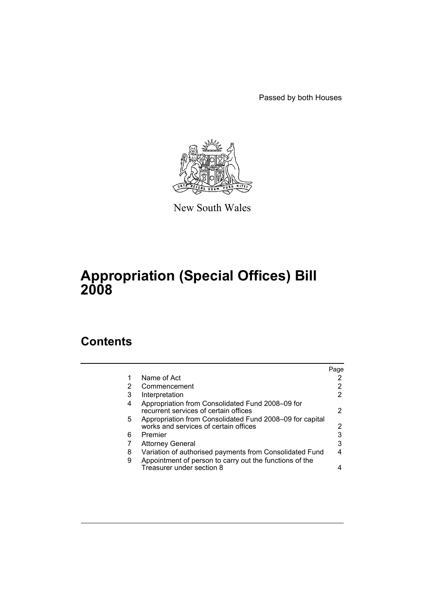Passed by both Houses



New South Wales

# **Appropriation (Special Offices) Bill 2008**

## **Contents**

|                                                                                                   | Page |
|---------------------------------------------------------------------------------------------------|------|
| Name of Act                                                                                       | 2    |
| Commencement                                                                                      | 2    |
| Interpretation                                                                                    | 2    |
| Appropriation from Consolidated Fund 2008–09 for<br>recurrent services of certain offices         | 2    |
| Appropriation from Consolidated Fund 2008-09 for capital<br>works and services of certain offices | 2    |
| Premier                                                                                           | 3    |
| <b>Attorney General</b>                                                                           | 3    |
| Variation of authorised payments from Consolidated Fund                                           | 4    |
| Appointment of person to carry out the functions of the<br>Treasurer under section 8              |      |
|                                                                                                   |      |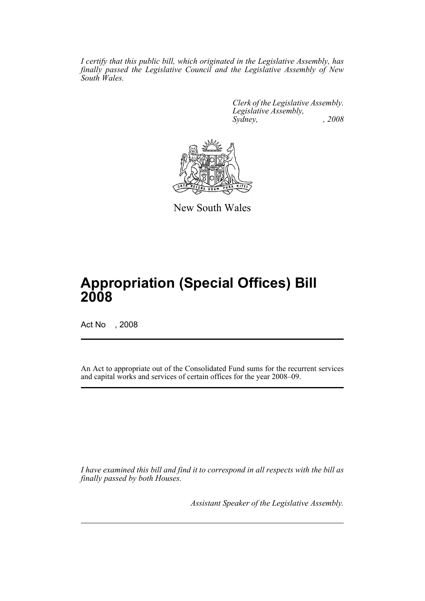*I certify that this public bill, which originated in the Legislative Assembly, has finally passed the Legislative Council and the Legislative Assembly of New South Wales.*

> *Clerk of the Legislative Assembly. Legislative Assembly, Sydney, , 2008*



New South Wales

## **Appropriation (Special Offices) Bill 2008**

Act No , 2008

An Act to appropriate out of the Consolidated Fund sums for the recurrent services and capital works and services of certain offices for the year 2008–09.

*I have examined this bill and find it to correspond in all respects with the bill as finally passed by both Houses.*

*Assistant Speaker of the Legislative Assembly.*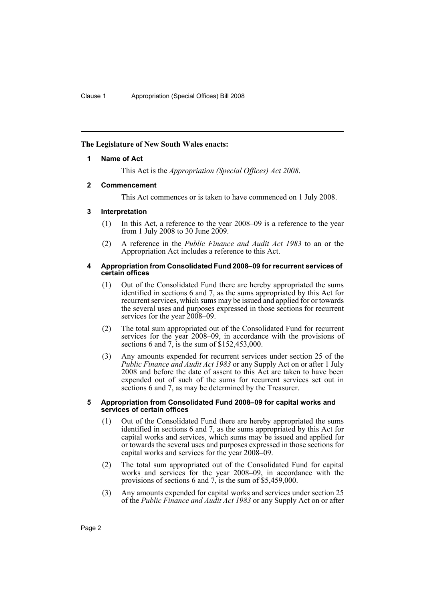## **The Legislature of New South Wales enacts:**

## **1 Name of Act**

This Act is the *Appropriation (Special Offices) Act 2008*.

## **2 Commencement**

This Act commences or is taken to have commenced on 1 July 2008.

## **3 Interpretation**

- (1) In this Act, a reference to the year 2008–09 is a reference to the year from 1 July 2008 to 30 June 2009.
- (2) A reference in the *Public Finance and Audit Act 1983* to an or the Appropriation Act includes a reference to this Act.

#### **4 Appropriation from Consolidated Fund 2008–09 for recurrent services of certain offices**

- (1) Out of the Consolidated Fund there are hereby appropriated the sums identified in sections 6 and 7, as the sums appropriated by this Act for recurrent services, which sums may be issued and applied for or towards the several uses and purposes expressed in those sections for recurrent services for the year 2008–09.
- (2) The total sum appropriated out of the Consolidated Fund for recurrent services for the year 2008–09, in accordance with the provisions of sections 6 and 7, is the sum of \$152,453,000.
- (3) Any amounts expended for recurrent services under section 25 of the *Public Finance and Audit Act 1983* or any Supply Act on or after 1 July 2008 and before the date of assent to this Act are taken to have been expended out of such of the sums for recurrent services set out in sections 6 and 7, as may be determined by the Treasurer.

#### **5 Appropriation from Consolidated Fund 2008–09 for capital works and services of certain offices**

- (1) Out of the Consolidated Fund there are hereby appropriated the sums identified in sections 6 and 7, as the sums appropriated by this Act for capital works and services, which sums may be issued and applied for or towards the several uses and purposes expressed in those sections for capital works and services for the year 2008–09.
- (2) The total sum appropriated out of the Consolidated Fund for capital works and services for the year 2008–09, in accordance with the provisions of sections 6 and 7, is the sum of \$5,459,000.
- (3) Any amounts expended for capital works and services under section 25 of the *Public Finance and Audit Act 1983* or any Supply Act on or after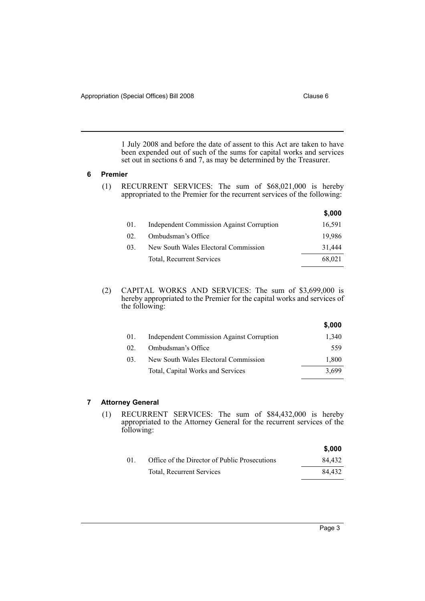1 July 2008 and before the date of assent to this Act are taken to have been expended out of such of the sums for capital works and services set out in sections 6 and 7, as may be determined by the Treasurer.

#### **6 Premier**

(1) RECURRENT SERVICES: The sum of \$68,021,000 is hereby appropriated to the Premier for the recurrent services of the following:

|     |                                                  | \$,000 |
|-----|--------------------------------------------------|--------|
| 01. | <b>Independent Commission Against Corruption</b> | 16,591 |
| 02. | Ombudsman's Office                               | 19.986 |
| 03. | New South Wales Electoral Commission             | 31,444 |
|     | Total, Recurrent Services                        | 68,021 |
|     |                                                  |        |

(2) CAPITAL WORKS AND SERVICES: The sum of \$3,699,000 is hereby appropriated to the Premier for the capital works and services of the following:

|     |                                                  | \$,000 |
|-----|--------------------------------------------------|--------|
| 01. | <b>Independent Commission Against Corruption</b> | 1,340  |
| 02  | Ombudsman's Office                               | 559    |
| 03. | New South Wales Electoral Commission             | 1,800  |
|     | Total, Capital Works and Services                | 3,699  |

## **7 Attorney General**

(1) RECURRENT SERVICES: The sum of \$84,432,000 is hereby appropriated to the Attorney General for the recurrent services of the following:

|    |                                               | \$.000 |
|----|-----------------------------------------------|--------|
| 01 | Office of the Director of Public Prosecutions | 84.432 |
|    | <b>Total, Recurrent Services</b>              | 84.432 |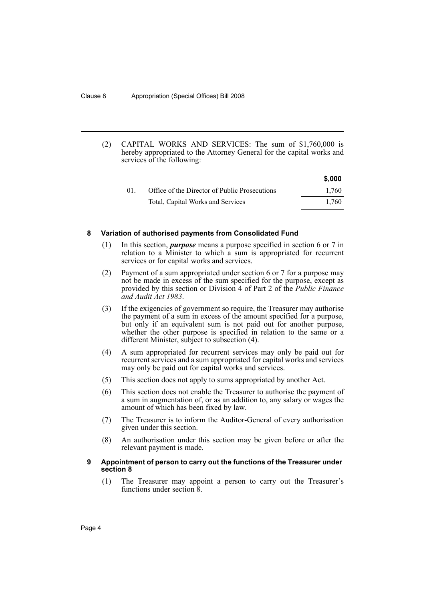(2) CAPITAL WORKS AND SERVICES: The sum of \$1,760,000 is hereby appropriated to the Attorney General for the capital works and services of the following:

|     |                                               | \$,000 |
|-----|-----------------------------------------------|--------|
| 01. | Office of the Director of Public Prosecutions | 1.760  |
|     | Total, Capital Works and Services             | 1.760  |

#### **8 Variation of authorised payments from Consolidated Fund**

- (1) In this section, *purpose* means a purpose specified in section 6 or 7 in relation to a Minister to which a sum is appropriated for recurrent services or for capital works and services.
- (2) Payment of a sum appropriated under section 6 or 7 for a purpose may not be made in excess of the sum specified for the purpose, except as provided by this section or Division 4 of Part 2 of the *Public Finance and Audit Act 1983*.
- (3) If the exigencies of government so require, the Treasurer may authorise the payment of a sum in excess of the amount specified for a purpose, but only if an equivalent sum is not paid out for another purpose, whether the other purpose is specified in relation to the same or a different Minister, subject to subsection (4).
- (4) A sum appropriated for recurrent services may only be paid out for recurrent services and a sum appropriated for capital works and services may only be paid out for capital works and services.
- (5) This section does not apply to sums appropriated by another Act.
- (6) This section does not enable the Treasurer to authorise the payment of a sum in augmentation of, or as an addition to, any salary or wages the amount of which has been fixed by law.
- (7) The Treasurer is to inform the Auditor-General of every authorisation given under this section.
- (8) An authorisation under this section may be given before or after the relevant payment is made.

### **9 Appointment of person to carry out the functions of the Treasurer under section 8**

(1) The Treasurer may appoint a person to carry out the Treasurer's functions under section 8.